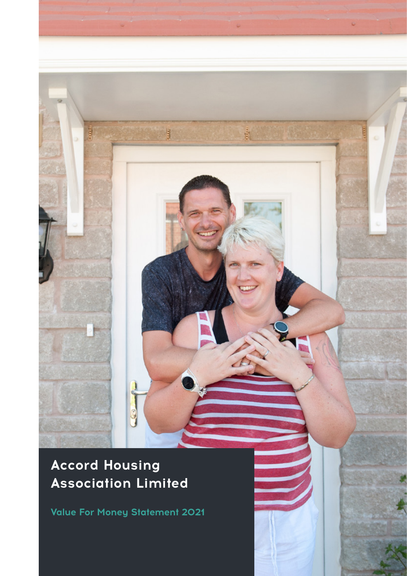# **Accord Housing Association Limited**

annis

ğ

嵐

**Value For Money Statement 2021**

C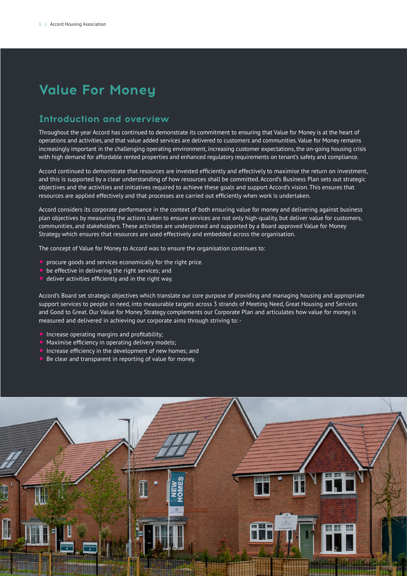# **Value For Money**

# **Introduction and overview**

Throughout the year Accord has continued to demonstrate its commitment to ensuring that Value for Money is at the heart of operations and activities, and that value added services are delivered to customers and communities. Value for Money remains increasingly important in the challenging operating environment, increasing customer expectations, the on-going housing crisis with high demand for affordable rented properties and enhanced regulatory requirements on tenant's safety and compliance.

Accord continued to demonstrate that resources are invested efficiently and effectively to maximise the return on investment, and this is supported by a clear understanding of how resources shall be committed. Accord's Business Plan sets out strategic objectives and the activities and initiatives required to achieve these goals and support Accord's vision. This ensures that resources are applied effectively and that processes are carried out efficiently when work is undertaken.

Accord considers its corporate performance in the context of both ensuring value for money and delivering against business plan objectives by measuring the actions taken to ensure services are not only high-quality, but deliver value for customers, communities, and stakeholders. These activities are underpinned and supported by a Board approved Value for Money Strategy which ensures that resources are used effectively and embedded across the organisation.

The concept of Value for Money to Accord was to ensure the organisation continues to:

- **C** procure goods and services economically for the right price.
- $\bullet$  be effective in delivering the right services; and
- $\bullet$  deliver activities efficiently and in the right way.

Accord's Board set strategic objectives which translate our core purpose of providing and managing housing and appropriate support services to people in need, into measurable targets across 3 strands of Meeting Need, Great Housing and Services and Good to Great. Our Value for Money Strategy complements our Corporate Plan and articulates how value for money is measured and delivered in achieving our corporate aims through striving to: -

- Increase operating margins and profitability;
- Maximise efficiency in operating delivery models;
- Increase efficiency in the development of new homes; and
- Be clear and transparent in reporting of value for money.

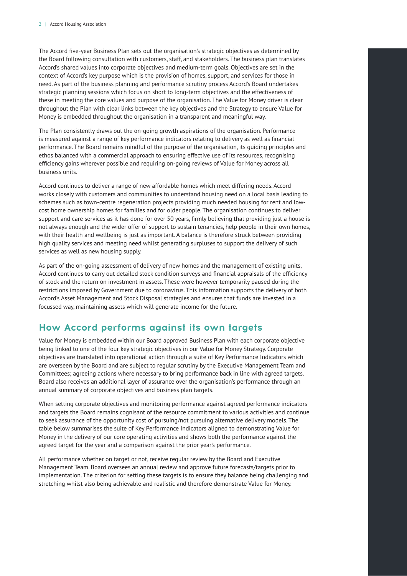The Accord five-year Business Plan sets out the organisation's strategic objectives as determined by the Board following consultation with customers, staff, and stakeholders. The business plan translates Accord's shared values into corporate objectives and medium-term goals. Objectives are set in the context of Accord's key purpose which is the provision of homes, support, and services for those in need. As part of the business planning and performance scrutiny process Accord's Board undertakes strategic planning sessions which focus on short to long-term objectives and the effectiveness of these in meeting the core values and purpose of the organisation. The Value for Money driver is clear throughout the Plan with clear links between the key objectives and the Strategy to ensure Value for Money is embedded throughout the organisation in a transparent and meaningful way.

The Plan consistently draws out the on-going growth aspirations of the organisation. Performance is measured against a range of key performance indicators relating to delivery as well as financial performance. The Board remains mindful of the purpose of the organisation, its guiding principles and ethos balanced with a commercial approach to ensuring effective use of its resources, recognising efficiency gains wherever possible and requiring on-going reviews of Value for Money across all business units.

Accord continues to deliver a range of new affordable homes which meet differing needs. Accord works closely with customers and communities to understand housing need on a local basis leading to schemes such as town-centre regeneration projects providing much needed housing for rent and lowcost home ownership homes for families and for older people. The organisation continues to deliver support and care services as it has done for over 50 years, firmly believing that providing just a house is not always enough and the wider offer of support to sustain tenancies, help people in their own homes, with their health and wellbeing is just as important. A balance is therefore struck between providing high quality services and meeting need whilst generating surpluses to support the delivery of such services as well as new housing supply.

As part of the on-going assessment of delivery of new homes and the management of existing units, Accord continues to carry out detailed stock condition surveys and financial appraisals of the efficiency of stock and the return on investment in assets. These were however temporarily paused during the restrictions imposed by Government due to coronavirus. This information supports the delivery of both Accord's Asset Management and Stock Disposal strategies and ensures that funds are invested in a focussed way, maintaining assets which will generate income for the future.

## **How Accord performs against its own targets**

Value for Money is embedded within our Board approved Business Plan with each corporate objective being linked to one of the four key strategic objectives in our Value for Money Strategy. Corporate objectives are translated into operational action through a suite of Key Performance Indicators which are overseen by the Board and are subject to regular scrutiny by the Executive Management Team and Committees; agreeing actions where necessary to bring performance back in line with agreed targets. Board also receives an additional layer of assurance over the organisation's performance through an annual summary of corporate objectives and business plan targets.

When setting corporate objectives and monitoring performance against agreed performance indicators and targets the Board remains cognisant of the resource commitment to various activities and continue to seek assurance of the opportunity cost of pursuing/not pursuing alternative delivery models. The table below summarises the suite of Key Performance Indicators aligned to demonstrating Value for Money in the delivery of our core operating activities and shows both the performance against the agreed target for the year and a comparison against the prior year's performance.

All performance whether on target or not, receive regular review by the Board and Executive Management Team. Board oversees an annual review and approve future forecasts/targets prior to implementation. The criterion for setting these targets is to ensure they balance being challenging and stretching whilst also being achievable and realistic and therefore demonstrate Value for Money.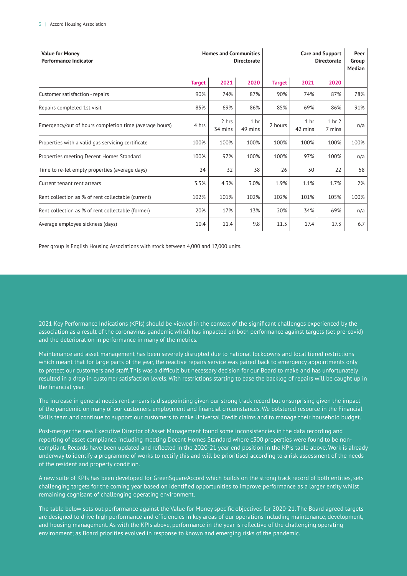| <b>Value for Money</b><br><b>Performance Indicator</b> | <b>Homes and Communities</b><br><b>Directorate</b> |                  |                            | <b>Care and Support</b><br><b>Directorate</b> |                            |                  | Peer<br>Group<br>Median |
|--------------------------------------------------------|----------------------------------------------------|------------------|----------------------------|-----------------------------------------------|----------------------------|------------------|-------------------------|
|                                                        | <b>Target</b>                                      | 2021             | 2020                       | <b>Target</b>                                 | 2021                       | 2020             |                         |
| Customer satisfaction - repairs                        | 90%                                                | 74%              | 87%                        | 90%                                           | 74%                        | 87%              | 78%                     |
| Repairs completed 1st visit                            | 85%                                                | 69%              | 86%                        | 85%                                           | 69%                        | 86%              | 91%                     |
| Emergency/out of hours completion time (average hours) | 4 hrs                                              | 2 hrs<br>34 mins | 1 <sub>hr</sub><br>49 mins | 2 hours                                       | 1 <sub>hr</sub><br>42 mins | 1 hr 2<br>7 mins | n/a                     |
| Properties with a valid gas servicing certificate      | 100%                                               | 100%             | 100%                       | 100%                                          | 100%                       | 100%             | 100%                    |
| Properties meeting Decent Homes Standard               | 100%                                               | 97%              | 100%                       | 100%                                          | 97%                        | 100%             | n/a                     |
| Time to re-let empty properties (average days)         | 24                                                 | 32               | 38                         | 26                                            | 30                         | 22               | 58                      |
| Current tenant rent arrears                            | 3.3%                                               | 4.3%             | 3.0%                       | 1.9%                                          | 1.1%                       | 1.7%             | 2%                      |
| Rent collection as % of rent collectable (current)     | 102%                                               | 101%             | 102%                       | 102%                                          | 101%                       | 105%             | 100%                    |
| Rent collection as % of rent collectable (former)      | 20%                                                | 17%              | 13%                        | 20%                                           | 34%                        | 69%              | n/a                     |
| Average employee sickness (days)                       | 10.4                                               | 11.4             | 9.8                        | 11.3                                          | 17.4                       | 17.3             | 6.7                     |

Peer group is English Housing Associations with stock between 4,000 and 17,000 units.

2021 Key Performance Indications (KPIs) should be viewed in the context of the significant challenges experienced by the association as a result of the coronavirus pandemic which has impacted on both performance against targets (set pre-covid) and the deterioration in performance in many of the metrics.

Maintenance and asset management has been severely disrupted due to national lockdowns and local tiered restrictions which meant that for large parts of the year, the reactive repairs service was paired back to emergency appointments only to protect our customers and staff. This was a difficult but necessary decision for our Board to make and has unfortunately resulted in a drop in customer satisfaction levels. With restrictions starting to ease the backlog of repairs will be caught up in the financial year.

The increase in general needs rent arrears is disappointing given our strong track record but unsurprising given the impact of the pandemic on many of our customers employment and financial circumstances. We bolstered resource in the Financial Skills team and continue to support our customers to make Universal Credit claims and to manage their household budget.

Post-merger the new Executive Director of Asset Management found some inconsistencies in the data recording and reporting of asset compliance including meeting Decent Homes Standard where c300 properties were found to be noncompliant. Records have been updated and reflected in the 2020-21 year end position in the KPIs table above. Work is already underway to identify a programme of works to rectify this and will be prioritised according to a risk assessment of the needs of the resident and property condition.

A new suite of KPIs has been developed for GreenSquareAccord which builds on the strong track record of both entities, sets challenging targets for the coming year based on identified opportunities to improve performance as a larger entity whilst remaining cognisant of challenging operating environment.

The table below sets out performance against the Value for Money specific objectives for 2020-21. The Board agreed targets are designed to drive high performance and efficiencies in key areas of our operations including maintenance, development, and housing management. As with the KPIs above, performance in the year is reflective of the challenging operating environment; as Board priorities evolved in response to known and emerging risks of the pandemic.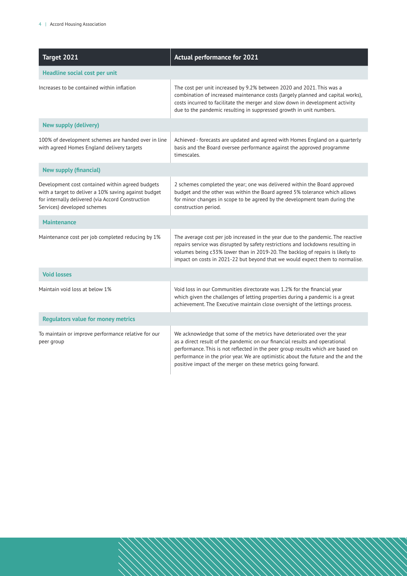| Target 2021                                                                                                                                                                                  | <b>Actual performance for 2021</b>                                                                                                                                                                                                                                                                                                                                                              |  |  |  |
|----------------------------------------------------------------------------------------------------------------------------------------------------------------------------------------------|-------------------------------------------------------------------------------------------------------------------------------------------------------------------------------------------------------------------------------------------------------------------------------------------------------------------------------------------------------------------------------------------------|--|--|--|
| Headline social cost per unit                                                                                                                                                                |                                                                                                                                                                                                                                                                                                                                                                                                 |  |  |  |
| Increases to be contained within inflation                                                                                                                                                   | The cost per unit increased by 9.2% between 2020 and 2021. This was a<br>combination of increased maintenance costs (largely planned and capital works),<br>costs incurred to facilitate the merger and slow down in development activity<br>due to the pandemic resulting in suppressed growth in unit numbers.                                                                                |  |  |  |
| <b>New supply (delivery)</b>                                                                                                                                                                 |                                                                                                                                                                                                                                                                                                                                                                                                 |  |  |  |
| 100% of development schemes are handed over in line<br>with agreed Homes England delivery targets                                                                                            | Achieved - forecasts are updated and agreed with Homes England on a quarterly<br>basis and the Board oversee performance against the approved programme<br>timescales.                                                                                                                                                                                                                          |  |  |  |
| <b>New supply (financial)</b>                                                                                                                                                                |                                                                                                                                                                                                                                                                                                                                                                                                 |  |  |  |
| Development cost contained within agreed budgets<br>with a target to deliver a 10% saving against budget<br>for internally delivered (via Accord Construction<br>Services) developed schemes | 2 schemes completed the year; one was delivered within the Board approved<br>budget and the other was within the Board agreed 5% tolerance which allows<br>for minor changes in scope to be agreed by the development team during the<br>construction period.                                                                                                                                   |  |  |  |
| <b>Maintenance</b>                                                                                                                                                                           |                                                                                                                                                                                                                                                                                                                                                                                                 |  |  |  |
| Maintenance cost per job completed reducing by 1%                                                                                                                                            | The average cost per job increased in the year due to the pandemic. The reactive<br>repairs service was disrupted by safety restrictions and lockdowns resulting in<br>volumes being c33% lower than in 2019-20. The backlog of repairs is likely to<br>impact on costs in 2021-22 but beyond that we would expect them to normalise.                                                           |  |  |  |
| <b>Void losses</b>                                                                                                                                                                           |                                                                                                                                                                                                                                                                                                                                                                                                 |  |  |  |
| Maintain void loss at below 1%                                                                                                                                                               | Void loss in our Communities directorate was 1.2% for the financial year<br>which given the challenges of letting properties during a pandemic is a great<br>achievement. The Executive maintain close oversight of the lettings process.                                                                                                                                                       |  |  |  |
| <b>Regulators value for money metrics</b>                                                                                                                                                    |                                                                                                                                                                                                                                                                                                                                                                                                 |  |  |  |
| To maintain or improve performance relative for our<br>peer group                                                                                                                            | We acknowledge that some of the metrics have deteriorated over the year<br>as a direct result of the pandemic on our financial results and operational<br>performance. This is not reflected in the peer group results which are based on<br>performance in the prior year. We are optimistic about the future and the and the<br>positive impact of the merger on these metrics going forward. |  |  |  |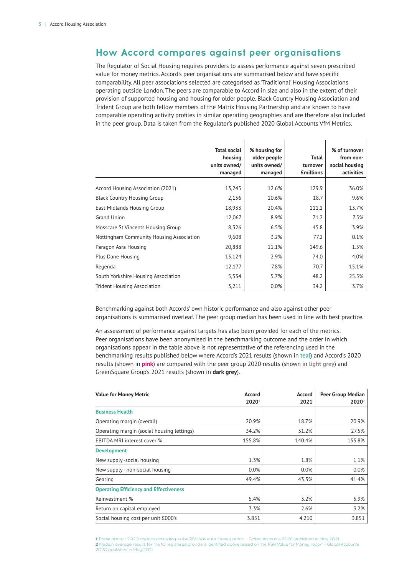# **How Accord compares against peer organisations**

The Regulator of Social Housing requires providers to assess performance against seven prescribed value for money metrics. Accord's peer organisations are summarised below and have specific comparability. All peer associations selected are categorised as 'Traditional' Housing Associations operating outside London. The peers are comparable to Accord in size and also in the extent of their provision of supported housing and housing for older people. Black Country Housing Association and Trident Group are both fellow members of the Matrix Housing Partnership and are known to have comparable operating activity profiles in similar operating geographies and are therefore also included in the peer group. Data is taken from the Regulator's published 2020 Global Accounts VfM Metrics.

J.

 $\overline{1}$ 

|                                          | <b>Total social</b><br>housing<br>units owned/<br>managed | % housing for<br>older people<br>units owned/<br>managed | Total<br>turnover<br><b>£millions</b> | % of turnover<br>from non-<br>social housing<br>activities |
|------------------------------------------|-----------------------------------------------------------|----------------------------------------------------------|---------------------------------------|------------------------------------------------------------|
| Accord Housing Association (2021)        | 13,245                                                    | 12.6%                                                    | 129.9                                 | 36.0%                                                      |
| <b>Black Country Housing Group</b>       | 2,156                                                     | 10.6%                                                    | 18.7                                  | 9.6%                                                       |
| East Midlands Housing Group              | 18,933                                                    | 20.4%                                                    | 111.1                                 | 13.7%                                                      |
| Grand Union                              | 12,067                                                    | 8.9%                                                     | 71.2                                  | 7.5%                                                       |
| Mosscare St Vincents Housing Group       | 8,326                                                     | 6.5%                                                     | 45.8                                  | 3.9%                                                       |
| Nottingham Community Housing Association | 9,608                                                     | 3.2%                                                     | 77.2                                  | 0.1%                                                       |
| Paragon Asra Housing                     | 20,888                                                    | 11.1%                                                    | 149.6                                 | 1.5%                                                       |
| Plus Dane Housing                        | 13,124                                                    | 2.9%                                                     | 74.0                                  | 4.0%                                                       |
| Regenda                                  | 12,177                                                    | 7.8%                                                     | 70.7                                  | 15.1%                                                      |
| South Yorkshire Housing Association      | 5,534                                                     | 5.7%                                                     | 48.2                                  | 25.5%                                                      |
| <b>Trident Housing Association</b>       | 3,211                                                     | 0.0%                                                     | 34.2                                  | 3.7%                                                       |

Benchmarking against both Accords' own historic performance and also against other peer organisations is summarised overleaf. The peer group median has been used in line with best practice.

An assessment of performance against targets has also been provided for each of the metrics. Peer organisations have been anonymised in the benchmarking outcome and the order in which organisations appear in the table above is not representative of the referencing used in the benchmarking results published below where Accord's 2021 results (shown in **teal**) and Accord's 2020 results (shown in **pink**) are compared with the peer group 2020 results (shown in **light grey**) and GreenSquare Group's 2021 results (shown in **dark grey**).

| <b>Value for Money Metric</b>                 | Accord<br>20201 | <b>Accord</b><br>2021 | Peer Group Median<br>2020 <sup>2</sup> |
|-----------------------------------------------|-----------------|-----------------------|----------------------------------------|
| <b>Business Health</b>                        |                 |                       |                                        |
|                                               |                 |                       |                                        |
| Operating margin (overall)                    | 20.9%           | 18.7%                 | 20.9%                                  |
| Operating margin (social housing lettings)    | 34.2%           | 31.2%                 | 27.5%                                  |
| EBITDA MRI interest cover %                   | 155.8%          | 140.4%                | 155.8%                                 |
| <b>Development</b>                            |                 |                       |                                        |
| New supply-social housing                     | 1.3%            | 1.8%                  | 1.1%                                   |
| New supply - non-social housing               | 0.0%            | 0.0%                  | 0.0%                                   |
| Gearing                                       | 49.4%           | 43.3%                 | 41.4%                                  |
| <b>Operating Efficiency and Effectiveness</b> |                 |                       |                                        |
| Reinvestment %                                | 5.4%            | 3.2%                  | 5.9%                                   |
| Return on capital employed                    | 3.3%            | 2.6%                  | 3.2%                                   |
| Social housing cost per unit £000's           | 3.851           | 4.210                 | 3.851                                  |

**1** These are our 2020 metrics according to the RSH Value for Money report – Global Accounts 2020 published in May 2021. 2 Median average results for the 10 registered providers identified above based on the RSH Value for Money report - Global Accounts 2020 published in Mau 2021.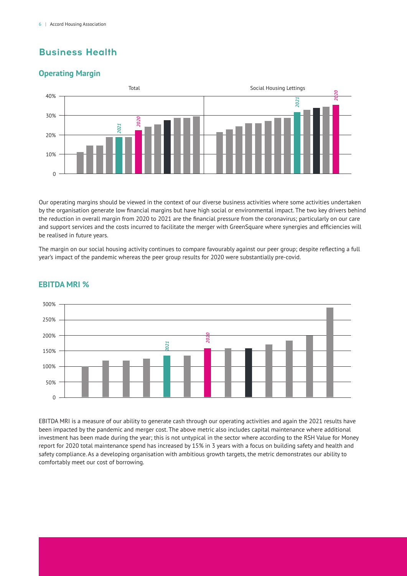# **Business Health**

## **Operating Margin**



Our operating margins should be viewed in the context of our diverse business activities where some activities undertaken by the organisation generate low financial margins but have high social or environmental impact. The two key drivers behind the reduction in overall margin from 2020 to 2021 are the financial pressure from the coronavirus; particularly on our care and support services and the costs incurred to facilitate the merger with GreenSquare where synergies and efficiencies will be realised in future years.

The margin on our social housing activity continues to compare favourably against our peer group; despite reflecting a full year's impact of the pandemic whereas the peer group results for 2020 were substantially pre-covid.



### **EBITDA MRI %**

EBITDA MRI is a measure of our ability to generate cash through our operating activities and again the 2021 results have been impacted by the pandemic and merger cost. The above metric also includes capital maintenance where additional investment has been made during the year; this is not untypical in the sector where according to the RSH Value for Money report for 2020 total maintenance spend has increased by 15% in 3 years with a focus on building safety and health and safety compliance. As a developing organisation with ambitious growth targets, the metric demonstrates our ability to comfortably meet our cost of borrowing.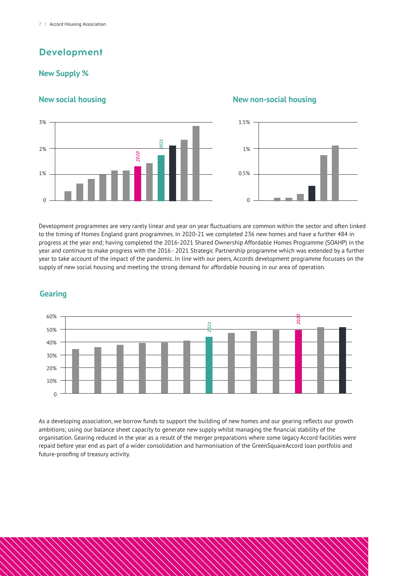# **Development**

### **New Supply %**



### **New social housing New non-social housing**



Development programmes are very rarely linear and year on year fluctuations are common within the sector and often linked to the timing of Homes England grant programmes. In 2020-21 we completed 236 new homes and have a further 484 in progress at the year end; having completed the 2016-2021 Shared Ownership Affordable Homes Programme (SOAHP) in the year and continue to make progress with the 2016 - 2021 Strategic Partnership programme which was extended by a further year to take account of the impact of the pandemic. In line with our peers, Accords development programme focusses on the supply of new social housing and meeting the strong demand for affordable housing in our area of operation.

### **Gearing**



As a developing association, we borrow funds to support the building of new homes and our gearing reflects our growth ambitions; using our balance sheet capacity to generate new supply whilst managing the financial stability of the organisation. Gearing reduced in the year as a result of the merger preparations where some legacy Accord facilities were repaid before year end as part of a wider consolidation and harmonisation of the GreenSquareAccord loan portfolio and future-proofing of treasury activity.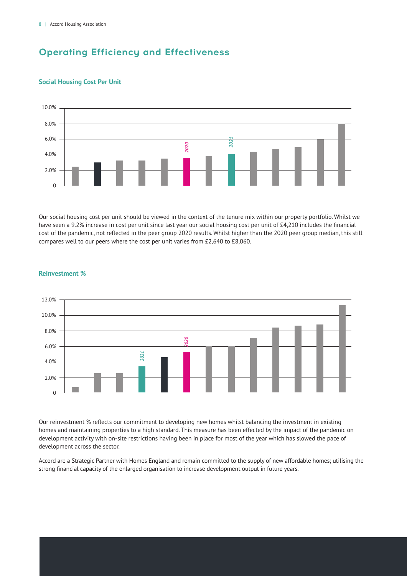# **Operating Efficiency and Effectiveness**



### **Social Housing Cost Per Unit**

Our social housing cost per unit should be viewed in the context of the tenure mix within our property portfolio. Whilst we have seen a 9.2% increase in cost per unit since last year our social housing cost per unit of £4,210 includes the financial cost of the pandemic, not reflected in the peer group 2020 results. Whilst higher than the 2020 peer group median, this still compares well to our peers where the cost per unit varies from £2,640 to £8,060.



### **Reinvestment %**

Our reinvestment % reflects our commitment to developing new homes whilst balancing the investment in existing homes and maintaining properties to a high standard. This measure has been effected by the impact of the pandemic on development activity with on-site restrictions having been in place for most of the year which has slowed the pace of development across the sector.

Accord are a Strategic Partner with Homes England and remain committed to the supply of new affordable homes; utilising the strong financial capacity of the enlarged organisation to increase development output in future years.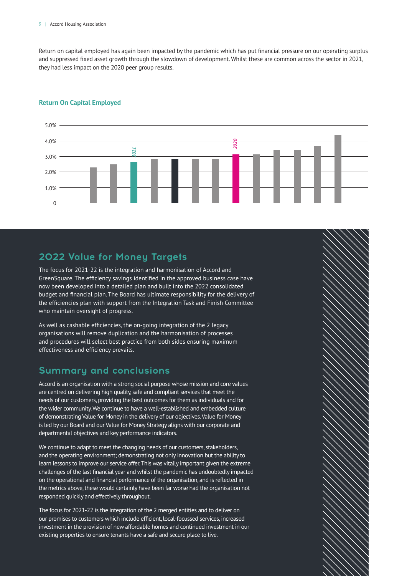### 9 | Accord Housing Association

Return on capital employed has again been impacted by the pandemic which has put financial pressure on our operating surplus and suppressed fixed asset growth through the slowdown of development. Whilst these are common across the sector in 2021, they had less impact on the 2020 peer group results.

### **Return On Capital Employed**



# **2022 Value for Money Targets**

The focus for 2021-22 is the integration and harmonisation of Accord and GreenSquare. The efficiency savings identified in the approved business case have now been developed into a detailed plan and built into the 2022 consolidated budget and financial plan. The Board has ultimate responsibility for the delivery of the efficiencies plan with support from the Integration Task and Finish Committee who maintain oversight of progress.

As well as cashable efficiencies, the on-going integration of the 2 legacy organisations will remove duplication and the harmonisation of processes and procedures will select best practice from both sides ensuring maximum effectiveness and efficiency prevails.

## **Summary and conclusions**

Accord is an organisation with a strong social purpose whose mission and core values are centred on delivering high quality, safe and compliant services that meet the needs of our customers, providing the best outcomes for them as individuals and for the wider community. We continue to have a well-established and embedded culture of demonstrating Value for Money in the delivery of our objectives. Value for Money is led by our Board and our Value for Money Strategy aligns with our corporate and departmental objectives and key performance indicators.

We continue to adapt to meet the changing needs of our customers, stakeholders, and the operating environment; demonstrating not only innovation but the ability to learn lessons to improve our service offer. This was vitally important given the extreme challenges of the last financial year and whilst the pandemic has undoubtedly impacted on the operational and financial performance of the organisation, and is reflected in the metrics above, these would certainly have been far worse had the organisation not responded quickly and effectively throughout.

The focus for 2021-22 is the integration of the 2 merged entities and to deliver on our promises to customers which include efficient, local-focussed services, increased investment in the provision of new affordable homes and continued investment in our existing properties to ensure tenants have a safe and secure place to live.